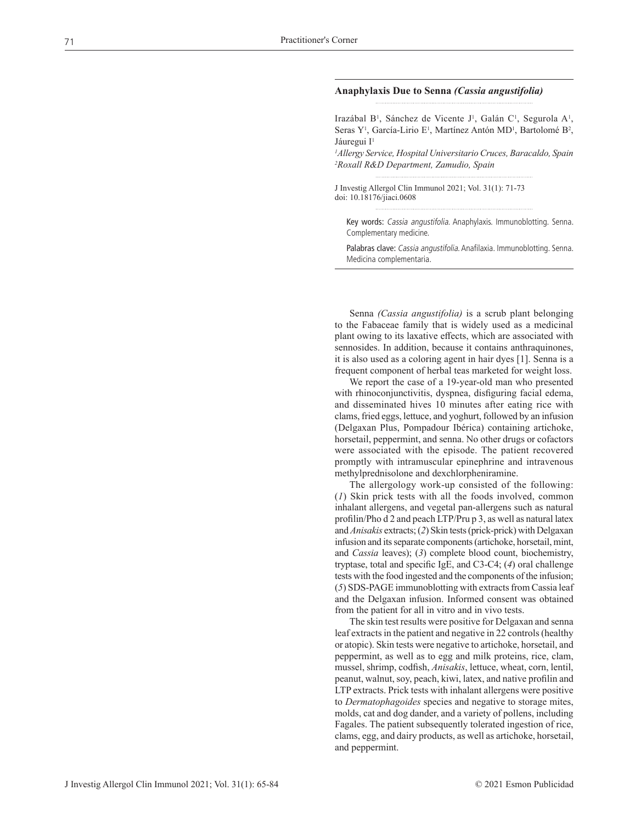## **Anaphylaxis Due to Senna** *(Cassia angustifolia)*

Irazábal B<sup>1</sup>, Sánchez de Vicente J<sup>1</sup>, Galán C<sup>1</sup>, Segurola A<sup>1</sup>, Seras Y<sup>1</sup>, García-Lirio E<sup>1</sup>, Martínez Antón MD<sup>1</sup>, Bartolomé B<sup>2</sup>, Jáuregui I<sup>1</sup>

*1 Allergy Service, Hospital Universitario Cruces, Baracaldo, Spain 2 Roxall R&D Department, Zamudio, Spain* 

J Investig Allergol Clin Immunol 2021; Vol. 31(1): 71-73 doi: 10.18176/jiaci.0608

Key words: Cassia angustifolia. Anaphylaxis. Immunoblotting. Senna. Complementary medicine.

Palabras clave: Cassia angustifolia. Anafilaxia. Immunoblotting. Senna. Medicina complementaria.

Senna *(Cassia angustifolia)* is a scrub plant belonging to the Fabaceae family that is widely used as a medicinal plant owing to its laxative effects, which are associated with sennosides. In addition, because it contains anthraquinones, it is also used as a coloring agent in hair dyes [1]. Senna is a frequent component of herbal teas marketed for weight loss.

We report the case of a 19-year-old man who presented with rhinoconjunctivitis, dyspnea, disfiguring facial edema, and disseminated hives 10 minutes after eating rice with clams, fried eggs, lettuce, and yoghurt, followed by an infusion (Delgaxan Plus, Pompadour Ibérica) containing artichoke, horsetail, peppermint, and senna. No other drugs or cofactors were associated with the episode. The patient recovered promptly with intramuscular epinephrine and intravenous methylprednisolone and dexchlorpheniramine.

The allergology work-up consisted of the following: (*1*) Skin prick tests with all the foods involved, common inhalant allergens, and vegetal pan-allergens such as natural profilin/Pho d 2 and peach LTP/Pru p 3, as well as natural latex and *Anisakis* extracts; (*2*) Skin tests (prick-prick) with Delgaxan infusion and its separate components (artichoke, horsetail, mint, and *Cassia* leaves); (*3*) complete blood count, biochemistry, tryptase, total and specific IgE, and C3-C4; (*4*) oral challenge tests with the food ingested and the components of the infusion; (*5*) SDS-PAGE immunoblotting with extracts from Cassia leaf and the Delgaxan infusion. Informed consent was obtained from the patient for all in vitro and in vivo tests.

The skin test results were positive for Delgaxan and senna leaf extracts in the patient and negative in 22 controls (healthy or atopic). Skin tests were negative to artichoke, horsetail, and peppermint, as well as to egg and milk proteins, rice, clam, mussel, shrimp, codfish, *Anisakis*, lettuce, wheat, corn, lentil, peanut, walnut, soy, peach, kiwi, latex, and native profilin and LTP extracts. Prick tests with inhalant allergens were positive to *Dermatophagoides* species and negative to storage mites, molds, cat and dog dander, and a variety of pollens, including Fagales. The patient subsequently tolerated ingestion of rice, clams, egg, and dairy products, as well as artichoke, horsetail, and peppermint.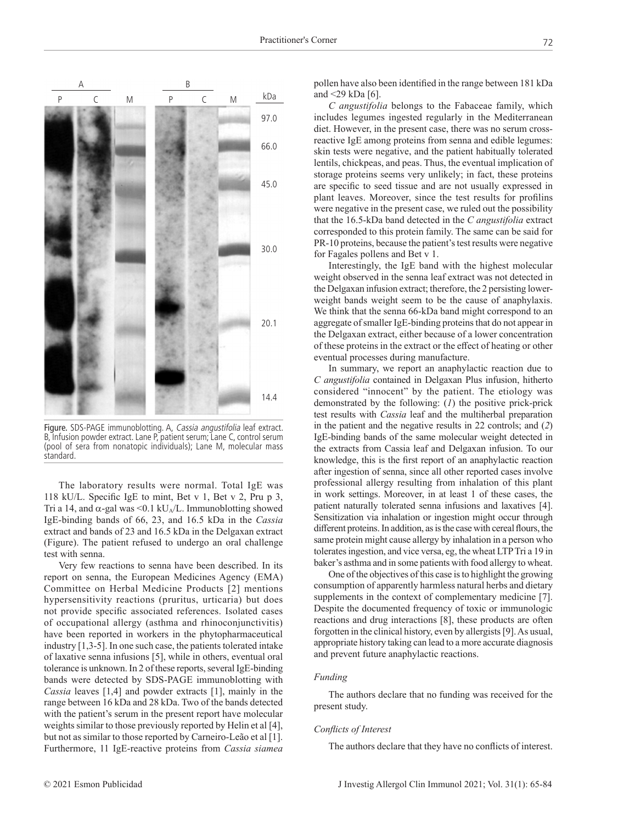

Figure. SDS-PAGE immunoblotting. A, Cassia angustifolia leaf extract. B, Infusion powder extract. Lane P, patient serum; Lane C, control serum (pool of sera from nonatopic individuals); Lane M, molecular mass standard.

The laboratory results were normal. Total IgE was 118 kU/L. Specific IgE to mint, Bet v 1, Bet v 2, Pru p 3, Tri a 14, and  $\alpha$ -gal was <0.1 kU<sub>A</sub>/L. Immunoblotting showed IgE-binding bands of 66, 23, and 16.5 kDa in the *Cassia* extract and bands of 23 and 16.5 kDa in the Delgaxan extract (Figure). The patient refused to undergo an oral challenge test with senna.

Very few reactions to senna have been described. In its report on senna, the European Medicines Agency (EMA) Committee on Herbal Medicine Products [2] mentions hypersensitivity reactions (pruritus, urticaria) but does not provide specific associated references. Isolated cases of occupational allergy (asthma and rhinoconjunctivitis) have been reported in workers in the phytopharmaceutical industry [1,3-5]. In one such case, the patients tolerated intake of laxative senna infusions [5], while in others, eventual oral tolerance is unknown. In 2 of these reports, several IgE-binding bands were detected by SDS-PAGE immunoblotting with *Cassia* leaves [1,4] and powder extracts [1], mainly in the range between 16 kDa and 28 kDa. Two of the bands detected with the patient's serum in the present report have molecular weights similar to those previously reported by Helin et al [4], but not as similar to those reported by Carneiro-Leão et al [1]. Furthermore, 11 IgE-reactive proteins from *Cassia siamea*  pollen have also been identified in the range between 181 kDa and  $\leq$ 29 kDa [6].

*C angustifolia* belongs to the Fabaceae family, which includes legumes ingested regularly in the Mediterranean diet. However, in the present case, there was no serum crossreactive IgE among proteins from senna and edible legumes: skin tests were negative, and the patient habitually tolerated lentils, chickpeas, and peas. Thus, the eventual implication of storage proteins seems very unlikely; in fact, these proteins are specific to seed tissue and are not usually expressed in plant leaves. Moreover, since the test results for profilins were negative in the present case, we ruled out the possibility that the 16.5-kDa band detected in the *C angustifolia* extract corresponded to this protein family. The same can be said for PR-10 proteins, because the patient's test results were negative for Fagales pollens and Bet v 1.

Interestingly, the IgE band with the highest molecular weight observed in the senna leaf extract was not detected in the Delgaxan infusion extract; therefore, the 2 persisting lowerweight bands weight seem to be the cause of anaphylaxis. We think that the senna 66-kDa band might correspond to an aggregate of smaller IgE-binding proteins that do not appear in the Delgaxan extract, either because of a lower concentration of these proteins in the extract or the effect of heating or other eventual processes during manufacture.

In summary, we report an anaphylactic reaction due to *C angustifolia* contained in Delgaxan Plus infusion, hitherto considered "innocent" by the patient. The etiology was demonstrated by the following: (*1*) the positive prick-prick test results with *Cassia* leaf and the multiherbal preparation in the patient and the negative results in 22 controls; and (*2*) IgE-binding bands of the same molecular weight detected in the extracts from Cassia leaf and Delgaxan infusion. To our knowledge, this is the first report of an anaphylactic reaction after ingestion of senna, since all other reported cases involve professional allergy resulting from inhalation of this plant in work settings. Moreover, in at least 1 of these cases, the patient naturally tolerated senna infusions and laxatives [4]. Sensitization via inhalation or ingestion might occur through different proteins. In addition, as is the case with cereal flours, the same protein might cause allergy by inhalation in a person who tolerates ingestion, and vice versa, eg, the wheat LTP Tri a 19 in baker's asthma and in some patients with food allergy to wheat.

One of the objectives of this case is to highlight the growing consumption of apparently harmless natural herbs and dietary supplements in the context of complementary medicine [7]. Despite the documented frequency of toxic or immunologic reactions and drug interactions [8], these products are often forgotten in the clinical history, even by allergists [9]. As usual, appropriate history taking can lead to a more accurate diagnosis and prevent future anaphylactic reactions.

#### *Funding*

The authors declare that no funding was received for the present study.

### *Conflicts of Interest*

The authors declare that they have no conflicts of interest.